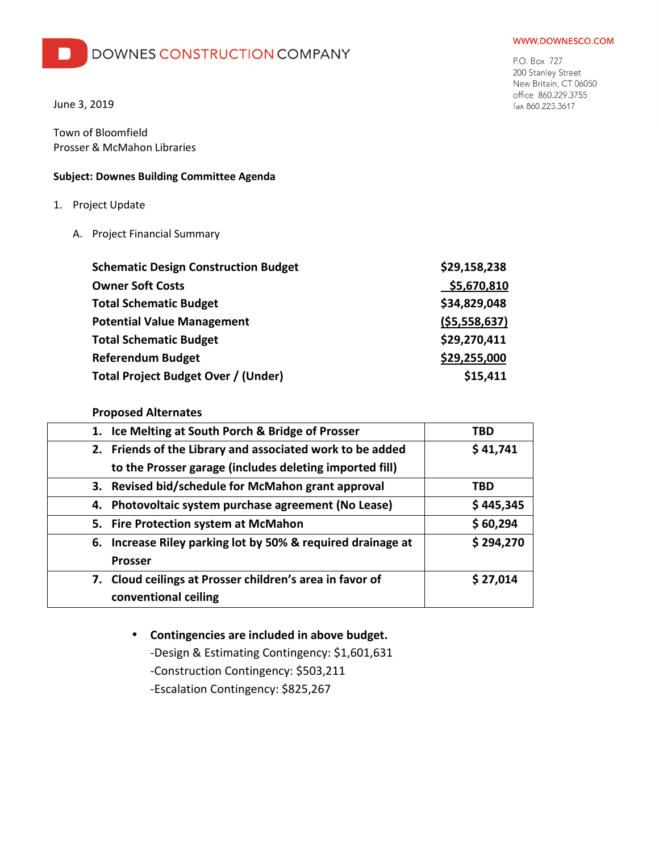## DOWNES CONSTRUCTION COMPANY

June 3, 2019

Town of Bloomfield Prosser & McMahon Libraries

## **Subject: Downes Building Committee Agenda**

- 1. Project Update
	- A. Project Financial Summary

| <b>Schematic Design Construction Budget</b> | \$29,158,238 |
|---------------------------------------------|--------------|
| <b>Owner Soft Costs</b>                     | \$5,670,810  |
| <b>Total Schematic Budget</b>               | \$34,829,048 |
| <b>Potential Value Management</b>           | (55,558,637) |
| <b>Total Schematic Budget</b>               | \$29,270,411 |
| <b>Referendum Budget</b>                    | \$29,255,000 |
| Total Project Budget Over / (Under)         | \$15,411     |

## **Proposed Alternates**

| 1. Ice Melting at South Porch & Bridge of Prosser           | TBD       |
|-------------------------------------------------------------|-----------|
| 2. Friends of the Library and associated work to be added   | \$41,741  |
| to the Prosser garage (includes deleting imported fill)     |           |
| 3. Revised bid/schedule for McMahon grant approval          | TBD       |
| 4. Photovoltaic system purchase agreement (No Lease)        | \$445,345 |
| 5. Fire Protection system at McMahon                        | \$60,294  |
| 6. Increase Riley parking lot by 50% & required drainage at | \$294,270 |
| <b>Prosser</b>                                              |           |
| 7. Cloud ceilings at Prosser children's area in favor of    | \$27,014  |
| conventional ceiling                                        |           |

# • **Contingencies are included in above budget.**

-Design & Estimating Contingency: \$1,601,631 -Construction Contingency: \$503,211

-Escalation Contingency: \$825,267

#### WWW.DOWNESCO.COM

P.O. Box 727 200 Stanley Street New Britain, CT 06050 office 860.229.3755 fax 860.225.3617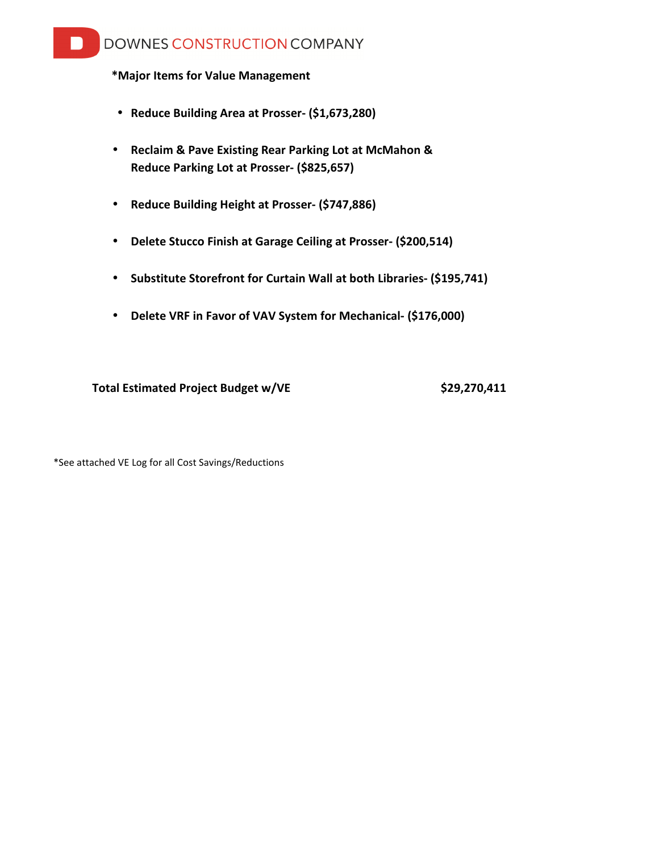# DOWNES CONSTRUCTION COMPANY

## **\*Major Items for Value Management**

- **Reduce Building Area at Prosser- (\$1,673,280)**
- **Reclaim & Pave Existing Rear Parking Lot at McMahon & Reduce Parking Lot at Prosser- (\$825,657)**
- **Reduce Building Height at Prosser- (\$747,886)**
- **Delete Stucco Finish at Garage Ceiling at Prosser- (\$200,514)**
- **Substitute Storefront for Curtain Wall at both Libraries- (\$195,741)**
- **Delete VRF in Favor of VAV System for Mechanical- (\$176,000)**

Total Estimated Project Budget w/VE \$29,270,411

\*See attached VE Log for all Cost Savings/Reductions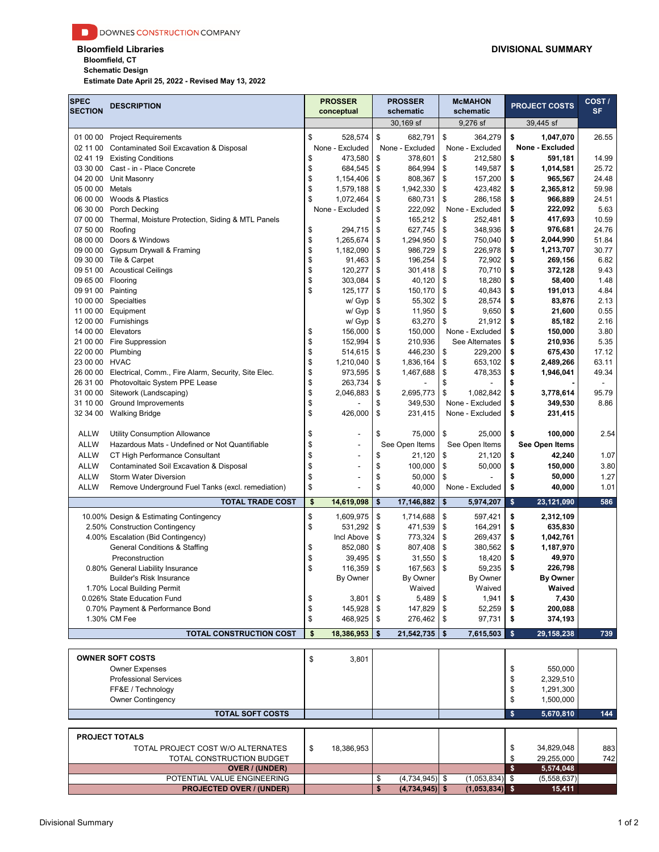**Bloomfield, CT**

**Schematic Design**

**Estimate Date April 25, 2022 - Revised May 13, 2022**

| <b>SPEC</b><br><b>SECTION</b> | <b>DESCRIPTION</b>                                                   |          | <b>PROSSER</b><br>conceptual |          | <b>PROSSER</b><br>schematic |          | <b>McMAHON</b><br>schematic        |          | <b>PROJECT COSTS</b> | COST/<br><b>SF</b> |
|-------------------------------|----------------------------------------------------------------------|----------|------------------------------|----------|-----------------------------|----------|------------------------------------|----------|----------------------|--------------------|
|                               |                                                                      |          |                              |          | 30,169 sf                   |          | 9,276 sf                           |          | 39,445 sf            |                    |
| 01 00 00                      | <b>Project Requirements</b>                                          | \$       | 528,574                      | \$       | 682,791                     | \$       | 364,279                            | \$       | 1,047,070            | 26.55              |
| 02 11 00                      | Contaminated Soil Excavation & Disposal                              |          | None - Excluded              |          | None - Excluded             |          | None - Excluded                    |          | None - Excluded      |                    |
|                               | 02 41 19 Existing Conditions                                         | \$       | 473,580                      | \$       | 378,601                     | \$       | 212.580                            | \$       | 591,181              | 14.99              |
| 03 30 00                      | Cast - in - Place Concrete                                           | \$       | 684,545                      | \$       | 864,994                     | \$       | 149,587                            | \$       | 1,014,581            | 25.72              |
| 04 20 00                      | Unit Masonry                                                         | \$       | 1,154,406                    | \$       | 808,367                     | \$       | 157,200                            | \$       | 965,567              | 24.48              |
| 05 00 00                      | Metals                                                               | \$<br>\$ | 1,579,188                    | \$       | 1,942,330                   | \$<br>\$ | 423,482                            | \$       | 2,365,812            | 59.98              |
| 06 00 00                      | Woods & Plastics<br>06 30 00 Porch Decking                           |          | 1,072,464<br>None - Excluded | \$<br>\$ | 680,731<br>222,092          |          | 286,158<br>None - Excluded         | \$<br>\$ | 966,889<br>222,092   | 24.51<br>5.63      |
| 07 00 00                      | Thermal, Moisture Protection, Siding & MTL Panels                    |          |                              | \$       | 165,212                     | \$       | 252,481                            | \$       | 417,693              | 10.59              |
| 07 50 00                      | Roofing                                                              | \$       | 294,715                      | \$       | 627,745                     | \$       | 348,936                            | \$       | 976,681              | 24.76              |
| 08 00 00                      | Doors & Windows                                                      | \$       | 1,265,674                    | \$       | 1,294,950                   | \$       | 750,040                            | \$       | 2,044,990            | 51.84              |
| 09 00 00                      | Gypsum Drywall & Framing                                             | \$       | 1,182,090                    | \$       | 986,729                     | \$       | 226,978                            | \$       | 1,213,707            | 30.77              |
|                               | 09 30 00 Tile & Carpet                                               | \$       | 91,463                       | \$       | 196,254                     | \$       | 72,902                             | \$       | 269,156              | 6.82               |
|                               | 09 51 00 Acoustical Ceilings                                         | \$       | 120,277                      | \$       | 301,418                     | \$       | 70,710                             | \$       | 372,128              | 9.43               |
| 09 65 00                      | Flooring                                                             | \$<br>\$ | 303,084                      | \$       | 40,120                      | \$       | 18,280                             | \$       | 58,400               | 1.48               |
| 09 91 00 Painting<br>10 00 00 | Specialties                                                          |          | 125,177<br>w/ Gyp            | \$<br>\$ | 150,170<br>55,302           | \$<br>\$ | 40,843<br>28,574                   | \$<br>\$ | 191,013<br>83,876    | 4.84<br>2.13       |
|                               | 11 00 00 Equipment                                                   |          | w/ Gyp                       | \$       | 11,950                      | \$       | 9,650                              | \$       | 21,600               | 0.55               |
|                               | 12 00 00 Furnishings                                                 |          | w/ Gyp                       | \$       | 63,270                      | \$       | 21,912                             | \$       | 85,182               | 2.16               |
|                               | 14 00 00 Elevators                                                   | \$       | 156,000                      | \$       | 150,000                     |          | None - Excluded                    | \$       | 150,000              | 3.80               |
| 21 00 00                      | <b>Fire Suppression</b>                                              | \$       | 152,994                      | \$       | 210,936                     |          | See Alternates                     | \$       | 210,936              | 5.35               |
|                               | 22 00 00 Plumbing                                                    | \$       | 514,615                      | \$       | 446,230                     | \$       | 229,200                            | \$       | 675,430              | 17.12              |
| 23 00 00 HVAC                 |                                                                      | \$       | 1,210,040                    | \$       | 1,836,164                   | \$       | 653,102                            | \$       | 2,489,266            | 63.11              |
|                               | 26 00 00 Electrical, Comm., Fire Alarm, Security, Site Elec.         | \$       | 973,595                      | \$       | 1,467,688                   | \$       | 478,353                            | \$       | 1,946,041            | 49.34              |
|                               | 26 31 00 Photovoltaic System PPE Lease                               | \$       | 263,734                      | \$       |                             | \$       |                                    | \$       |                      |                    |
|                               | 31 00 00 Sitework (Landscaping)                                      | \$<br>\$ | 2,046,883                    | \$<br>\$ | 2,695,773<br>349,530        | \$       | 1,082,842                          | \$<br>\$ | 3,778,614<br>349,530 | 95.79<br>8.86      |
| 31 10 00                      | <b>Ground Improvements</b><br>32 34 00 Walking Bridge                | \$       | 426,000                      | \$       | 231,415                     |          | None - Excluded<br>None - Excluded | \$       | 231,415              |                    |
|                               |                                                                      |          |                              |          |                             |          |                                    |          |                      |                    |
| <b>ALLW</b>                   | <b>Utility Consumption Allowance</b>                                 | \$       | $\overline{\phantom{a}}$     | \$       | 75,000                      | \$       | 25,000                             | \$       | 100,000              | 2.54               |
| <b>ALLW</b>                   | Hazardous Mats - Undefined or Not Quantifiable                       | \$       | ٠                            |          | See Open Items              |          | See Open Items                     |          | See Open Items       |                    |
| <b>ALLW</b>                   | CT High Performance Consultant                                       | \$       |                              | \$       | 21,120                      | \$       | 21,120                             | \$       | 42,240               | 1.07               |
| <b>ALLW</b>                   | Contaminated Soil Excavation & Disposal                              | \$       |                              | \$       | 100,000                     | \$       | 50,000                             | \$       | 150,000              | 3.80               |
| <b>ALLW</b>                   | Storm Water Diversion                                                | \$       |                              | \$       | 50,000                      | \$       |                                    | \$       | 50,000               | 1.27               |
| <b>ALLW</b>                   | Remove Underground Fuel Tanks (excl. remediation)                    | \$       |                              | \$       | 40,000                      |          | None - Excluded                    | \$       | 40,000               | 1.01               |
|                               | <b>TOTAL TRADE COST</b>                                              | \$       | 14,619,098                   | \$       | 17,146,882                  | \$       | 5,974,207                          | \$       | 23,121,090           | 586                |
|                               | 10.00% Design & Estimating Contingency                               | \$<br>\$ | 1,609,975                    | \$       | 1,714,688                   | \$       | 597,421                            | \$<br>\$ | 2,312,109<br>635,830 |                    |
|                               | 2.50% Construction Contingency<br>4.00% Escalation (Bid Contingency) |          | 531,292<br>Incl Above        | \$<br>\$ | 471,539<br>773,324          | \$<br>\$ | 164,291<br>269,437                 | \$       | 1,042,761            |                    |
|                               | General Conditions & Staffing                                        | \$       | 852,080                      | \$       | 807,408                     | \$       | 380,562                            | \$       | 1,187,970            |                    |
|                               | Preconstruction                                                      | \$       | 39,495                       | \$       | 31,550                      | \$       | 18,420                             | \$       | 49,970               |                    |
|                               | 0.80% General Liability Insurance                                    | \$       | 116,359                      | \$       | 167,563                     | \$       | 59,235                             | \$       | 226,798              |                    |
|                               | <b>Builder's Risk Insurance</b>                                      |          | By Owner                     |          | By Owner                    |          | By Owner                           |          | By Owner             |                    |
|                               | 1.70% Local Building Permit                                          |          |                              |          | Waived                      |          | Waived                             |          | Waived               |                    |
|                               | 0.026% State Education Fund                                          | \$       | 3,801                        | \$       | 5,489                       | \$       | 1,941                              | \$       | 7,430                |                    |
|                               | 0.70% Payment & Performance Bond                                     | \$       | 145,928                      | \$       | 147,829                     | \$       | 52,259                             | \$       | 200,088              |                    |
|                               | 1.30% CM Fee                                                         | \$       | 468,925                      | \$       | 276,462                     | \$       | 97,731                             | \$       | 374,193              |                    |
|                               | <b>TOTAL CONSTRUCTION COST</b>                                       | \$       | 18,386,953                   | \$       | 21,542,735                  | \$       | 7,615,503                          | \$       | 29,158,238           | 739                |
|                               | <b>OWNER SOFT COSTS</b>                                              | \$       | 3,801                        |          |                             |          |                                    |          |                      |                    |
|                               | <b>Owner Expenses</b>                                                |          |                              |          |                             |          |                                    | \$       | 550,000              |                    |
|                               | <b>Professional Services</b>                                         |          |                              |          |                             |          |                                    | \$       | 2,329,510            |                    |
|                               | FF&E / Technology                                                    |          |                              |          |                             |          |                                    | \$       | 1,291,300            |                    |
|                               | <b>Owner Contingency</b>                                             |          |                              |          |                             |          |                                    | \$       | 1,500,000            |                    |
|                               | <b>TOTAL SOFT COSTS</b>                                              |          |                              |          |                             |          |                                    | \$       | 5,670,810            | 144                |
|                               | <b>PROJECT TOTALS</b>                                                |          |                              |          |                             |          |                                    |          |                      |                    |
|                               | TOTAL PROJECT COST W/O ALTERNATES                                    | \$       | 18,386,953                   |          |                             |          |                                    | \$       | 34,829,048           | 883                |
|                               | TOTAL CONSTRUCTION BUDGET                                            |          |                              |          |                             |          |                                    | \$       | 29,255,000           | 742                |
|                               | <b>OVER / (UNDER)</b>                                                |          |                              |          |                             |          |                                    | \$       | 5,574,048            |                    |
|                               | POTENTIAL VALUE ENGINEERING                                          |          |                              | \$       | $(4,734,945)$ \$            |          | (1,053,834)                        | \$       | (5,558,637)          |                    |
|                               | <b>PROJECTED OVER / (UNDER)</b>                                      |          |                              | \$       | $(4,734,945)$ \$            |          | $(1,053,834)$ \$                   |          | 15,411               |                    |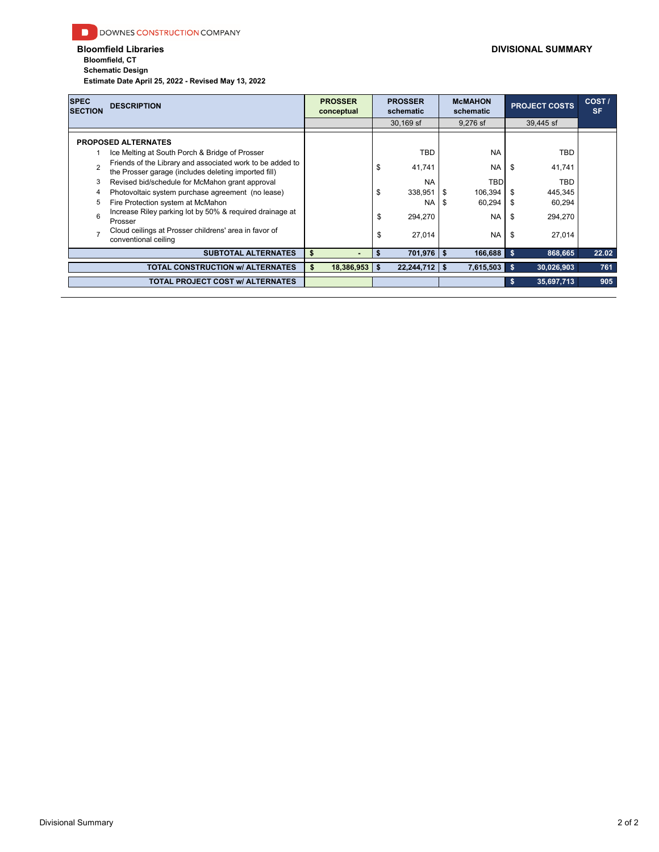**Bloomfield, CT Schematic Design**

**Estimate Date April 25, 2022 - Revised May 13, 2022**

| <b>SPEC</b><br><b>SECTION</b> | <b>DESCRIPTION</b>                                                                                                | <b>PROSSER</b><br>conceptual | <b>PROSSER</b><br>schematic |      | <b>McMAHON</b><br>schematic |     | <b>PROJECT COSTS</b> | COST/<br><b>SF</b> |
|-------------------------------|-------------------------------------------------------------------------------------------------------------------|------------------------------|-----------------------------|------|-----------------------------|-----|----------------------|--------------------|
|                               |                                                                                                                   |                              | $30.169$ sf                 |      | 9.276 sf                    |     | 39,445 sf            |                    |
|                               | <b>PROPOSED ALTERNATES</b>                                                                                        |                              |                             |      |                             |     |                      |                    |
|                               | Ice Melting at South Porch & Bridge of Prosser                                                                    |                              | <b>TBD</b>                  |      | <b>NA</b>                   |     | <b>TBD</b>           |                    |
| $\mathfrak{p}$                | Friends of the Library and associated work to be added to<br>the Prosser garage (includes deleting imported fill) |                              | \$<br>41,741                |      | <b>NA</b>                   | \$  | 41,741               |                    |
| 3                             | Revised bid/schedule for McMahon grant approval                                                                   |                              | <b>NA</b>                   |      | <b>TBD</b>                  |     | <b>TBD</b>           |                    |
| 4                             | Photovoltaic system purchase agreement (no lease)                                                                 |                              | \$<br>338,951               | l \$ | 106,394                     | -\$ | 445,345              |                    |
| 5                             | Fire Protection system at McMahon                                                                                 |                              | <b>NA</b>                   | l \$ | 60,294                      | -\$ | 60,294               |                    |
| 6                             | Increase Riley parking lot by 50% & required drainage at<br>Prosser                                               |                              | \$<br>294,270               |      | <b>NA</b>                   | -\$ | 294,270              |                    |
| $\overline{ }$                | Cloud ceilings at Prosser childrens' area in favor of<br>conventional ceiling                                     |                              | \$<br>27,014                |      | NA I                        | -\$ | 27,014               |                    |
|                               | <b>SUBTOTAL ALTERNATES</b>                                                                                        | \$<br>$\blacksquare$         | $701,976$ \$                |      | 166,688                     | -\$ | 868,665              | 22.02              |
|                               | <b>TOTAL CONSTRUCTION W/ ALTERNATES</b>                                                                           | $18,386,953$   \$<br>\$      | $22,244,712$ \$             |      | 7,615,503                   | s.  | 30,026,903           | 761                |
|                               | <b>TOTAL PROJECT COST W/ ALTERNATES</b>                                                                           |                              |                             |      |                             | -S. | 35,697,713           | 905                |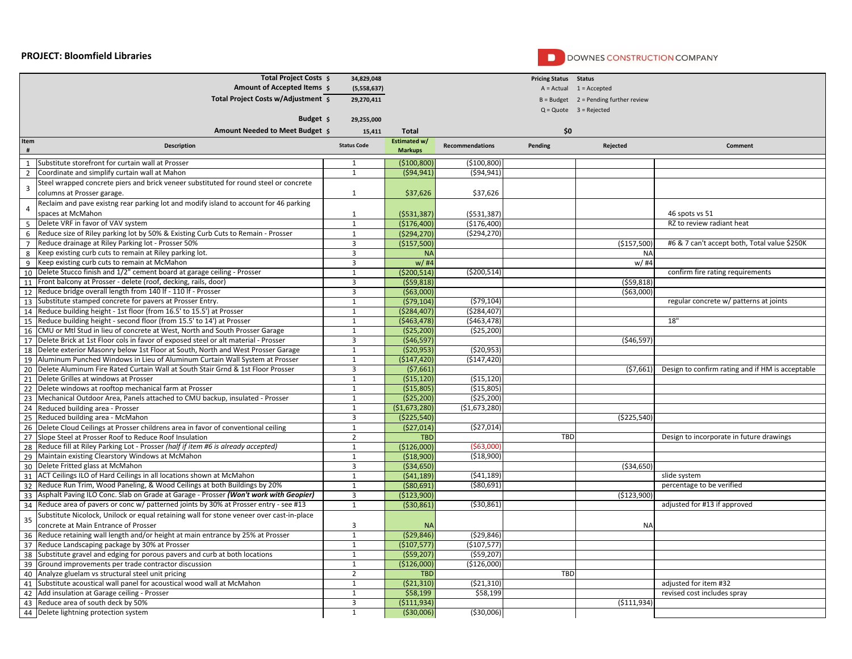## **PROJECT: Bloomfield Libraries**



## DOWNES CONSTRUCTION COMPANY

|                | Total Project Costs \$                                                                   | 34,829,048                     |                                |                        | <b>Pricing Status Status</b> |                                         |                                                  |
|----------------|------------------------------------------------------------------------------------------|--------------------------------|--------------------------------|------------------------|------------------------------|-----------------------------------------|--------------------------------------------------|
|                | Amount of Accepted Items \$                                                              | (5,558,637)                    |                                |                        |                              | $A = Actual$ $1 = Accelered$            |                                                  |
|                | Total Project Costs w/Adjustment \$                                                      | 29,270,411                     |                                |                        |                              | $B = Budget$ 2 = Pending further review |                                                  |
|                |                                                                                          |                                |                                |                        |                              | $Q = Quote$ 3 = Rejected                |                                                  |
|                | Budget \$                                                                                | 29,255,000                     |                                |                        |                              |                                         |                                                  |
|                | Amount Needed to Meet Budget 5                                                           | 15,411                         | Total                          |                        | \$0                          |                                         |                                                  |
| Item           | Description                                                                              | <b>Status Code</b>             | Estimated w/<br><b>Markups</b> | <b>Recommendations</b> | Pending                      | Rejected                                | Comment                                          |
| $\mathbf{1}$   | Substitute storefront for curtain wall at Prosser                                        | $\mathbf{1}$                   | (\$100,800)                    | (\$100,800)            |                              |                                         |                                                  |
| $\overline{2}$ | Coordinate and simplify curtain wall at Mahon                                            | 1                              | (594, 941)                     | (594, 941)             |                              |                                         |                                                  |
|                | Steel wrapped concrete piers and brick veneer substituted for round steel or concrete    |                                |                                |                        |                              |                                         |                                                  |
| 3              | columns at Prosser garage.                                                               | $\mathbf{1}$                   | \$37,626                       | \$37,626               |                              |                                         |                                                  |
|                | Reclaim and pave existng rear parking lot and modify island to account for 46 parking    |                                |                                |                        |                              |                                         |                                                  |
| 4              | spaces at McMahon                                                                        | $\mathbf{1}$                   | (5531, 387)                    | (5531, 387)            |                              |                                         | 46 spots vs 51                                   |
| 5              | Delete VRF in favor of VAV system                                                        | $\mathbf{1}$                   | (\$176,400)                    | (\$176,400)            |                              |                                         | RZ to review radiant heat                        |
| 6              | Reduce size of Riley parking lot by 50% & Existing Curb Cuts to Remain - Prosser         | $\mathbf{1}$                   | ( \$294, 270)                  | (5294, 270)            |                              |                                         |                                                  |
| $\overline{7}$ | Reduce drainage at Riley Parking lot - Prosser 50%                                       | $\mathbf{3}$                   | (\$157,500)                    |                        |                              | (\$157,500)                             | #6 & 7 can't accept both, Total value \$250K     |
| 8              | Keep existing curb cuts to remain at Riley parking lot.                                  | $\overline{3}$                 | <b>NA</b>                      |                        |                              | ΝA                                      |                                                  |
| 9              | Keep existing curb cuts to remain at McMahon                                             | 3                              | $w/$ #4                        |                        |                              | $w/$ #4                                 |                                                  |
| 10             | Delete Stucco finish and 1/2" cement board at garage ceiling - Prosser                   | $\mathbf{1}$                   | ( \$200, 514)                  | ( \$200, 514]          |                              |                                         | confirm fire rating requirements                 |
| 11             | Front balcony at Prosser - delete (roof, decking, rails, door)                           | 3                              | (559, 818)                     |                        |                              | (559, 818)                              |                                                  |
| 12             | Reduce bridge overall length from 140 If - 110 If - Prosser                              | 3                              | (563,000)                      |                        |                              | ( \$63,000)                             |                                                  |
| 13             | Substitute stamped concrete for pavers at Prosser Entry.                                 | $\mathbf{1}$                   | (579, 104)                     | (579, 104)             |                              |                                         | regular concrete w/ patterns at joints           |
| 14             | Reduce building height - 1st floor (from 16.5' to 15.5') at Prosser                      | $\mathbf{1}$                   | ( \$284,407)                   | ( \$284,407]           |                              |                                         |                                                  |
| 15             | Reduce building height - second floor (from 15.5' to 14') at Prosser                     | $\mathbf{1}$                   | (5463, 478)                    | ( \$463, 478]          |                              |                                         | 18"                                              |
|                | 16 CMU or Mtl Stud in lieu of concrete at West, North and South Prosser Garage           | $\mathbf{1}$                   | (\$25,200)                     | (\$25,200]             |                              |                                         |                                                  |
|                | 17 Delete Brick at 1st Floor cols in favor of exposed steel or alt material - Prosser    | 3                              | (546, 597)                     |                        |                              | ( \$46, 597]                            |                                                  |
| 18             | Delete exterior Masonry below 1st Floor at South, North and West Prosser Garage          | $\mathbf{1}$                   | (520, 953)                     | ( \$20, 953]           |                              |                                         |                                                  |
|                | 19 Aluminum Punched Windows in Lieu of Aluminum Curtain Wall System at Prosser           | $\mathbf{1}$                   | (\$147,420)                    | (\$147,420]            |                              |                                         |                                                  |
|                | 20 Delete Aluminum Fire Rated Curtain Wall at South Stair Grnd & 1st Floor Prosser       | 3                              | (57,661)                       |                        |                              | (57,661)                                | Design to confirm rating and if HM is acceptable |
| 21             | Delete Grilles at windows at Prosser                                                     | $\mathbf{1}$                   | (\$15,120)                     | ( \$15, 120]           |                              |                                         |                                                  |
|                | 22 Delete windows at rooftop mechanical farm at Prosser                                  | $\mathbf{1}$                   | (\$15,805)                     | (\$15,805]             |                              |                                         |                                                  |
|                | 23 Mechanical Outdoor Area, Panels attached to CMU backup, insulated - Prosser           | $\mathbf{1}$                   | ( \$25, 200)                   | (525, 200)             |                              |                                         |                                                  |
| 24             | Reduced building area - Prosser                                                          | $\mathbf{1}$                   | (\$1,673,280)                  | ( \$1,673,280]         |                              |                                         |                                                  |
|                | 25 Reduced building area - McMahon                                                       | 3                              | (\$225,540)                    |                        |                              | ( \$225, 540)                           |                                                  |
|                | 26 Delete Cloud Ceilings at Prosser childrens area in favor of conventional ceiling      | $\mathbf{1}$                   | (\$27,014)                     | ( \$27,014]            |                              |                                         |                                                  |
| 27             | Slope Steel at Prosser Roof to Reduce Roof Insulation                                    | $\overline{2}$                 | <b>TBD</b>                     |                        | TBD                          |                                         | Design to incorporate in future drawings         |
| 28             | Reduce fill at Riley Parking Lot - Prosser (half if item #6 is already accepted)         | $\mathbf{1}$                   | (\$126,000)                    | ( \$63,000]            |                              |                                         |                                                  |
|                | 29 Maintain existing Clearstory Windows at McMahon<br>30 Delete Fritted glass at McMahon | $\mathbf{1}$<br>$\overline{3}$ | ( \$18,900)                    | ( \$18,900]            |                              |                                         |                                                  |
|                | 31 ACT Ceilings ILO of Hard Ceilings in all locations shown at McMahon                   | $\mathbf{1}$                   | ( \$34, 650)                   | (541, 189)             |                              | ( \$34, 650)                            | slide system                                     |
|                | 32 Reduce Run Trim, Wood Paneling, & Wood Ceilings at both Buildings by 20%              | $\mathbf{1}$                   | (541, 189)<br>( \$80,691)      | ( \$80,691]            |                              |                                         | percentage to be verified                        |
| 33             | Asphalt Paving ILO Conc. Slab on Grade at Garage - Prosser (Won't work with Geopier)     | $\overline{3}$                 | (\$123,900)                    |                        |                              | (\$123,900)                             |                                                  |
|                | 34 Reduce area of pavers or conc w/ patterned joints by 30% at Prosser entry - see #13   | $\mathbf{1}$                   | ( \$30, 861)                   | ( \$30, 861]           |                              |                                         | adjusted for #13 if approved                     |
|                | Substitute Nicolock, Unilock or equal retaining wall for stone veneer over cast-in-place |                                |                                |                        |                              |                                         |                                                  |
| 35             | concrete at Main Entrance of Prosser                                                     | 3                              | <b>NA</b>                      |                        |                              | <b>NA</b>                               |                                                  |
| 36             | Reduce retaining wall length and/or height at main entrance by 25% at Prosser            | $\mathbf{1}$                   | ( \$29, 846)                   | (529, 846)             |                              |                                         |                                                  |
|                | 37 Reduce Landscaping package by 30% at Prosser                                          | $\mathbf{1}$                   | (\$107,577)                    | ( \$107, 577]          |                              |                                         |                                                  |
| 38             | Substitute gravel and edging for porous pavers and curb at both locations                | $\mathbf{1}$                   | (559, 207)                     | ( \$59, 207]           |                              |                                         |                                                  |
|                | 39 Ground improvements per trade contractor discussion                                   | $\mathbf{1}$                   | (\$126,000)                    | (\$126,000]            |                              |                                         |                                                  |
|                | 40 Analyze gluelam vs structural steel unit pricing                                      | $\overline{2}$                 | <b>TBD</b>                     |                        | TBD                          |                                         |                                                  |
| 41             | Substitute acoustical wall panel for acoustical wood wall at McMahon                     | 1                              | (521, 310)                     | (521, 310)             |                              |                                         | adjusted for item #32                            |
|                | 42 Add insulation at Garage ceiling - Prosser                                            | $\mathbf{1}$                   | \$58,199                       | \$58,199               |                              |                                         | revised cost includes spray                      |
|                | 43 Reduce area of south deck by 50%                                                      | 3                              | (5111, 934)                    |                        |                              | ( \$111, 934)                           |                                                  |
|                | 44 Delete lightning protection system                                                    | $\mathbf{1}$                   | ( \$30,006)                    | ( \$30,006)            |                              |                                         |                                                  |
|                |                                                                                          |                                |                                |                        |                              |                                         |                                                  |